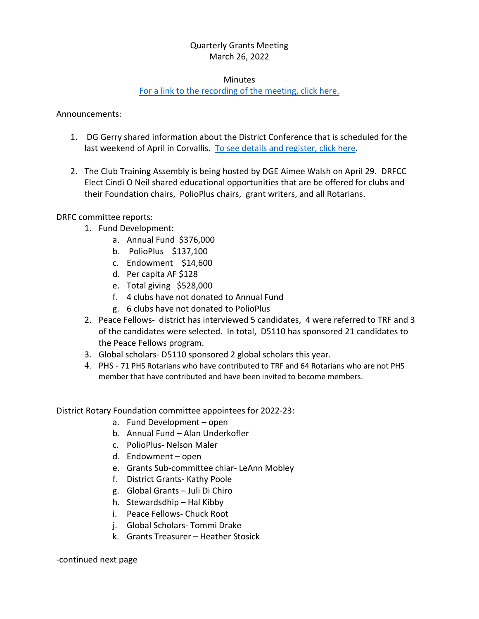## Quarterly Grants Meeting March 26, 2022

#### Minutes

# For a link to the recording [of the meeting, click here.](https://youtu.be/q5tlJcY34qw)

Announcements:

- 1. DG Gerry shared information about the District Conference that is scheduled for the last weekend of April in Corvallis. [To see details and register, click here.](https://www.district5110.org/celebration-conference/)
- 2. The Club Training Assembly is being hosted by DGE Aimee Walsh on April 29. DRFCC Elect Cindi O Neil shared educational opportunities that are be offered for clubs and their Foundation chairs, PolioPlus chairs, grant writers, and all Rotarians.

DRFC committee reports:

- 1. Fund Development:
	- a. Annual Fund \$376,000
	- b. PolioPlus \$137,100
	- c. Endowment \$14,600
	- d. Per capita AF \$128
	- e. Total giving \$528,000
	- f. 4 clubs have not donated to Annual Fund
	- g. 6 clubs have not donated to PolioPlus
- 2. Peace Fellows- district has interviewed 5 candidates, 4 were referred to TRF and 3 of the candidates were selected. In total, D5110 has sponsored 21 candidates to the Peace Fellows program.
- 3. Global scholars- D5110 sponsored 2 global scholars this year.
- 4. PHS 71 PHS Rotarians who have contributed to TRF and 64 Rotarians who are not PHS member that have contributed and have been invited to become members.

District Rotary Foundation committee appointees for 2022-23:

- a. Fund Development open
- b. Annual Fund Alan Underkofler
- c. PolioPlus- Nelson Maler
- d. Endowment open
- e. Grants Sub-committee chiar- LeAnn Mobley
- f. District Grants- Kathy Poole
- g. Global Grants Juli Di Chiro
- h. Stewardsdhip Hal Kibby
- i. Peace Fellows- Chuck Root
- j. Global Scholars- Tommi Drake
- k. Grants Treasurer Heather Stosick

-continued next page